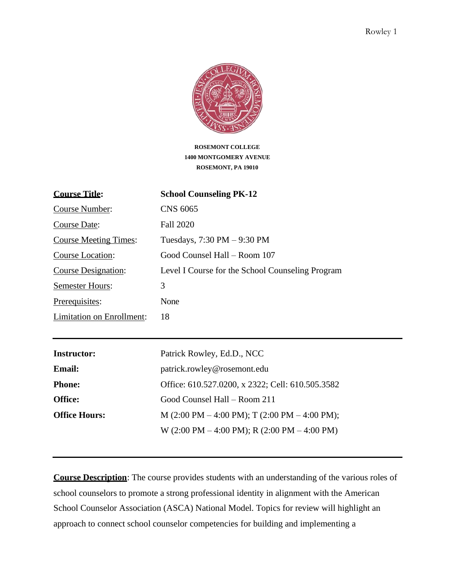

**ROSEMONT COLLEGE 1400 MONTGOMERY AVENUE ROSEMONT, PA 19010**

| <b>Course Title:</b>         | <b>School Counseling PK-12</b>                   |
|------------------------------|--------------------------------------------------|
| Course Number:               | CNS 6065                                         |
| <b>Course Date:</b>          | Fall 2020                                        |
| <b>Course Meeting Times:</b> | Tuesdays, $7:30 \text{ PM} - 9:30 \text{ PM}$    |
| Course Location:             | Good Counsel Hall - Room 107                     |
| Course Designation:          | Level I Course for the School Counseling Program |
| <b>Semester Hours:</b>       | 3                                                |
| Prerequisites:               | None                                             |
| Limitation on Enrollment:    | 18                                               |

| <b>Instructor:</b>   | Patrick Rowley, Ed.D., NCC                                                        |
|----------------------|-----------------------------------------------------------------------------------|
| <b>Email:</b>        | patrick.rowley@rosemont.edu                                                       |
| <b>Phone:</b>        | Office: 610.527.0200, x 2322; Cell: 610.505.3582                                  |
| <b>Office:</b>       | Good Counsel Hall – Room 211                                                      |
| <b>Office Hours:</b> | M $(2:00 \text{ PM} - 4:00 \text{ PM});$ T $(2:00 \text{ PM} - 4:00 \text{ PM});$ |
|                      | W $(2:00 \text{ PM} - 4:00 \text{ PM}); R (2:00 \text{ PM} - 4:00 \text{ PM})$    |

**Course Description**: The course provides students with an understanding of the various roles of school counselors to promote a strong professional identity in alignment with the American School Counselor Association (ASCA) National Model. Topics for review will highlight an approach to connect school counselor competencies for building and implementing a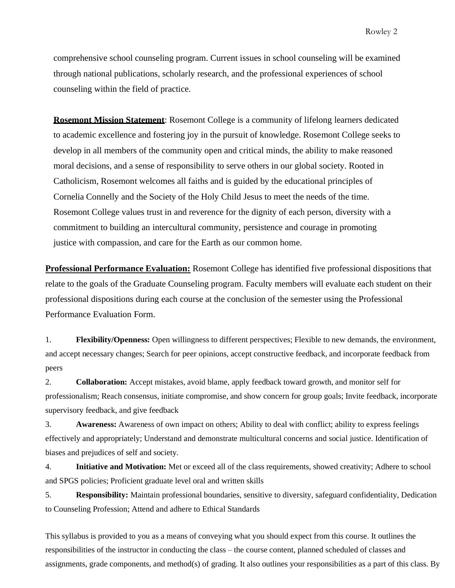comprehensive school counseling program. Current issues in school counseling will be examined through national publications, scholarly research, and the professional experiences of school counseling within the field of practice.

**Rosemont Mission Statement**: Rosemont College is a community of lifelong learners dedicated to academic excellence and fostering joy in the pursuit of knowledge. Rosemont College seeks to develop in all members of the community open and critical minds, the ability to make reasoned moral decisions, and a sense of responsibility to serve others in our global society. Rooted in Catholicism, Rosemont welcomes all faiths and is guided by the educational principles of Cornelia Connelly and the Society of the Holy Child Jesus to meet the needs of the time. Rosemont College values trust in and reverence for the dignity of each person, diversity with a commitment to building an intercultural community, persistence and courage in promoting justice with compassion, and care for the Earth as our common home.

**Professional Performance Evaluation:** Rosemont College has identified five professional dispositions that relate to the goals of the Graduate Counseling program. Faculty members will evaluate each student on their professional dispositions during each course at the conclusion of the semester using the Professional Performance Evaluation Form.

1. **Flexibility/Openness:** Open willingness to different perspectives; Flexible to new demands, the environment, and accept necessary changes; Search for peer opinions, accept constructive feedback, and incorporate feedback from peers

2. **Collaboration:** Accept mistakes, avoid blame, apply feedback toward growth, and monitor self for professionalism; Reach consensus, initiate compromise, and show concern for group goals; Invite feedback, incorporate supervisory feedback, and give feedback

3. **Awareness:** Awareness of own impact on others; Ability to deal with conflict; ability to express feelings effectively and appropriately; Understand and demonstrate multicultural concerns and social justice. Identification of biases and prejudices of self and society.

4. **Initiative and Motivation:** Met or exceed all of the class requirements, showed creativity; Adhere to school and SPGS policies; Proficient graduate level oral and written skills

5. **Responsibility:** Maintain professional boundaries, sensitive to diversity, safeguard confidentiality, Dedication to Counseling Profession; Attend and adhere to Ethical Standards

This syllabus is provided to you as a means of conveying what you should expect from this course. It outlines the responsibilities of the instructor in conducting the class – the course content, planned scheduled of classes and assignments, grade components, and method(s) of grading. It also outlines your responsibilities as a part of this class. By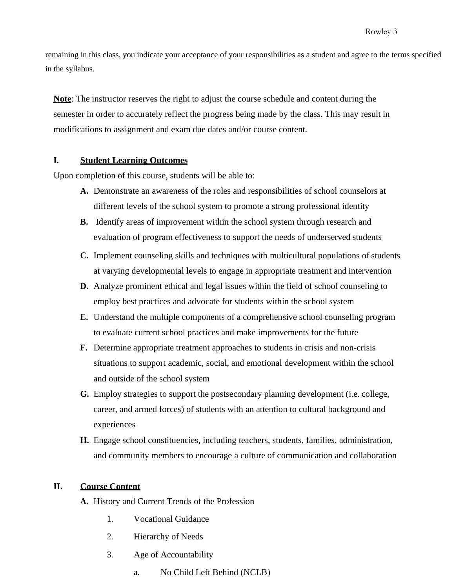remaining in this class, you indicate your acceptance of your responsibilities as a student and agree to the terms specified in the syllabus.

**Note**: The instructor reserves the right to adjust the course schedule and content during the semester in order to accurately reflect the progress being made by the class. This may result in modifications to assignment and exam due dates and/or course content.

#### **I. Student Learning Outcomes**

Upon completion of this course, students will be able to:

- **A.** Demonstrate an awareness of the roles and responsibilities of school counselors at different levels of the school system to promote a strong professional identity
- **B.** Identify areas of improvement within the school system through research and evaluation of program effectiveness to support the needs of underserved students
- **C.** Implement counseling skills and techniques with multicultural populations of students at varying developmental levels to engage in appropriate treatment and intervention
- **D.** Analyze prominent ethical and legal issues within the field of school counseling to employ best practices and advocate for students within the school system
- **E.** Understand the multiple components of a comprehensive school counseling program to evaluate current school practices and make improvements for the future
- **F.** Determine appropriate treatment approaches to students in crisis and non-crisis situations to support academic, social, and emotional development within the school and outside of the school system
- **G.** Employ strategies to support the postsecondary planning development (i.e. college, career, and armed forces) of students with an attention to cultural background and experiences
- **H.** Engage school constituencies, including teachers, students, families, administration, and community members to encourage a culture of communication and collaboration

#### **II. Course Content**

- **A.** History and Current Trends of the Profession
	- 1. Vocational Guidance
	- 2. Hierarchy of Needs
	- 3. Age of Accountability
		- a. No Child Left Behind (NCLB)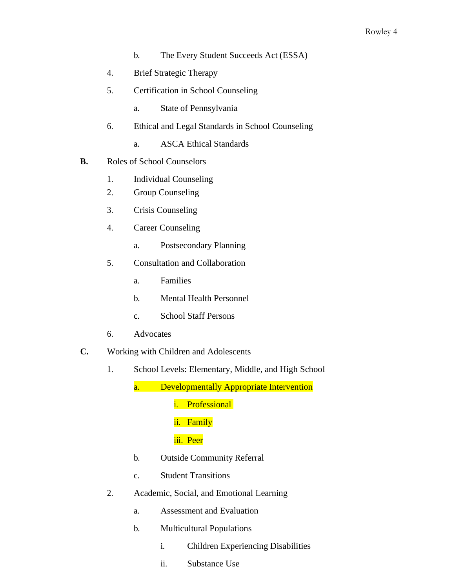- b. The Every Student Succeeds Act (ESSA)
- 4. Brief Strategic Therapy
- 5. Certification in School Counseling
	- a. State of Pennsylvania
- 6. Ethical and Legal Standards in School Counseling
	- a. ASCA Ethical Standards
- **B.** Roles of School Counselors
	- 1. Individual Counseling
	- 2. Group Counseling
	- 3. Crisis Counseling
	- 4. Career Counseling
		- a. Postsecondary Planning
	- 5. Consultation and Collaboration
		- a. Families
		- b. Mental Health Personnel
		- c. School Staff Persons
	- 6. Advocates
- **C.** Working with Children and Adolescents
	- 1. School Levels: Elementary, Middle, and High School

a. Developmentally Appropriate Intervention

i. Professional

# ii. Family

#### iii. Peer

- b. Outside Community Referral
- c. Student Transitions
- 2. Academic, Social, and Emotional Learning
	- a. Assessment and Evaluation
	- b. Multicultural Populations
		- i. Children Experiencing Disabilities
		- ii. Substance Use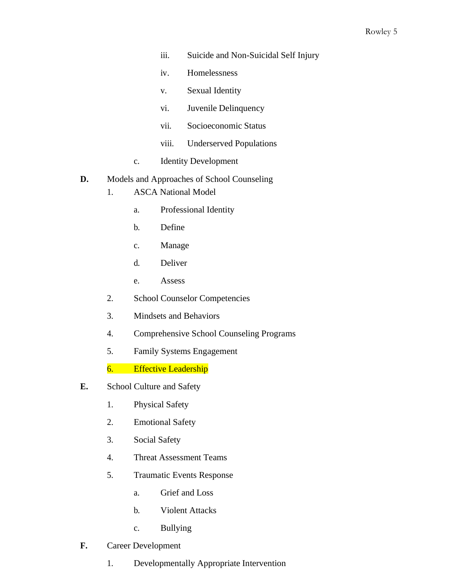- iii. Suicide and Non-Suicidal Self Injury
- iv. Homelessness
- v. Sexual Identity
- vi. Juvenile Delinquency
- vii. Socioeconomic Status
- viii. Underserved Populations
- c. Identity Development

#### **D.** Models and Approaches of School Counseling

- 1. ASCA National Model
	- a. Professional Identity
	- b. Define
	- c. Manage
	- d. Deliver
	- e. Assess
- 2. School Counselor Competencies
- 3. Mindsets and Behaviors
- 4. Comprehensive School Counseling Programs
- 5. Family Systems Engagement

6. Effective Leadership

- **E.** School Culture and Safety
	- 1. Physical Safety
	- 2. Emotional Safety
	- 3. Social Safety
	- 4. Threat Assessment Teams
	- 5. Traumatic Events Response
		- a. Grief and Loss
		- b. Violent Attacks
		- c. Bullying
- **F.** Career Development
	- 1. Developmentally Appropriate Intervention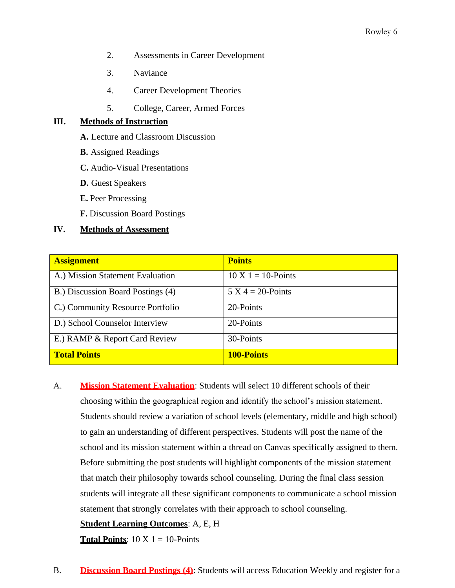- 2. Assessments in Career Development
- 3. Naviance
- 4. Career Development Theories
- 5. College, Career, Armed Forces

#### **III. Methods of Instruction**

- **A.** Lecture and Classroom Discussion
- **B.** Assigned Readings
- **C.** Audio-Visual Presentations
- **D.** Guest Speakers
- **E.** Peer Processing
- **F.** Discussion Board Postings

### **IV. Methods of Assessment**

| <b>Assignment</b>                 | <b>Points</b>         |
|-----------------------------------|-----------------------|
| A.) Mission Statement Evaluation  | $10 X 1 = 10$ -Points |
| B.) Discussion Board Postings (4) | $5 X 4 = 20$ -Points  |
| C.) Community Resource Portfolio  | 20-Points             |
| D.) School Counselor Interview    | 20-Points             |
| E.) RAMP & Report Card Review     | 30-Points             |
| <b>Total Points</b>               | <b>100-Points</b>     |

A. **Mission Statement Evaluation**: Students will select 10 different schools of their choosing within the geographical region and identify the school's mission statement. Students should review a variation of school levels (elementary, middle and high school) to gain an understanding of different perspectives. Students will post the name of the school and its mission statement within a thread on Canvas specifically assigned to them. Before submitting the post students will highlight components of the mission statement that match their philosophy towards school counseling. During the final class session students will integrate all these significant components to communicate a school mission statement that strongly correlates with their approach to school counseling.

## **Student Learning Outcomes**: A, E, H

**Total Points**:  $10 \text{ X } 1 = 10$ -Points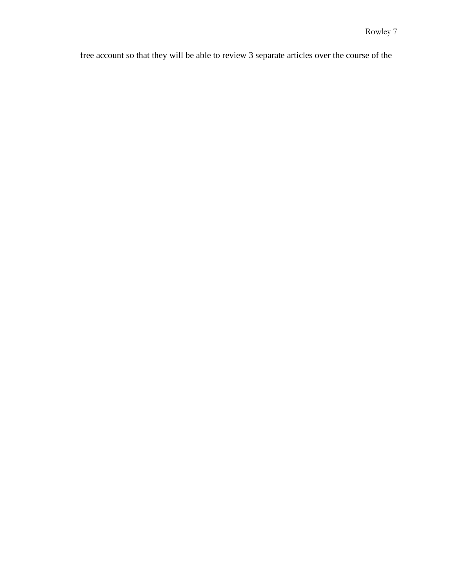free account so that they will be able to review 3 separate articles over the course of the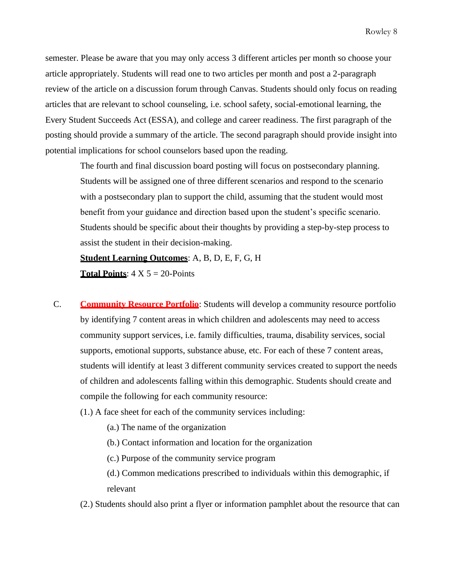semester. Please be aware that you may only access 3 different articles per month so choose your article appropriately. Students will read one to two articles per month and post a 2-paragraph review of the article on a discussion forum through Canvas. Students should only focus on reading articles that are relevant to school counseling, i.e. school safety, social-emotional learning, the Every Student Succeeds Act (ESSA), and college and career readiness. The first paragraph of the posting should provide a summary of the article. The second paragraph should provide insight into potential implications for school counselors based upon the reading.

The fourth and final discussion board posting will focus on postsecondary planning. Students will be assigned one of three different scenarios and respond to the scenario with a postsecondary plan to support the child, assuming that the student would most benefit from your guidance and direction based upon the student's specific scenario. Students should be specific about their thoughts by providing a step-by-step process to assist the student in their decision-making.

**Student Learning Outcomes**: A, B, D, E, F, G, H **Total Points:**  $4 \times 5 = 20$ -Points

- C. **Community Resource Portfolio**: Students will develop a community resource portfolio by identifying 7 content areas in which children and adolescents may need to access community support services, i.e. family difficulties, trauma, disability services, social supports, emotional supports, substance abuse, etc. For each of these 7 content areas, students will identify at least 3 different community services created to support the needs of children and adolescents falling within this demographic. Students should create and compile the following for each community resource:
	- (1.) A face sheet for each of the community services including:
		- (a.) The name of the organization
		- (b.) Contact information and location for the organization
		- (c.) Purpose of the community service program
		- (d.) Common medications prescribed to individuals within this demographic, if relevant
	- (2.) Students should also print a flyer or information pamphlet about the resource that can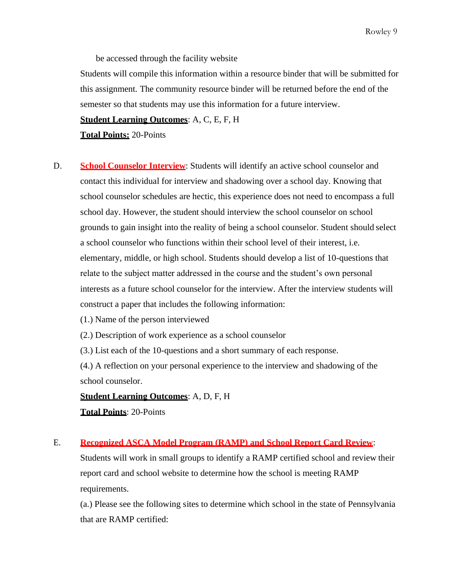Rowley 9

be accessed through the facility website

Students will compile this information within a resource binder that will be submitted for this assignment. The community resource binder will be returned before the end of the semester so that students may use this information for a future interview.

**Student Learning Outcomes**: A, C, E, F, H

**Total Points:** 20-Points

D. **School Counselor Interview**: Students will identify an active school counselor and contact this individual for interview and shadowing over a school day. Knowing that school counselor schedules are hectic, this experience does not need to encompass a full school day. However, the student should interview the school counselor on school grounds to gain insight into the reality of being a school counselor. Student should select a school counselor who functions within their school level of their interest, i.e. elementary, middle, or high school. Students should develop a list of 10-questions that relate to the subject matter addressed in the course and the student's own personal interests as a future school counselor for the interview. After the interview students will construct a paper that includes the following information:

(1.) Name of the person interviewed

(2.) Description of work experience as a school counselor

(3.) List each of the 10-questions and a short summary of each response.

(4.) A reflection on your personal experience to the interview and shadowing of the school counselor.

**Student Learning Outcomes**: A, D, F, H

**Total Points**: 20-Points

## E. **Recognized ASCA Model Program (RAMP) and School Report Card Review**:

Students will work in small groups to identify a RAMP certified school and review their report card and school website to determine how the school is meeting RAMP requirements.

(a.) Please see the following sites to determine which school in the state of Pennsylvania that are RAMP certified: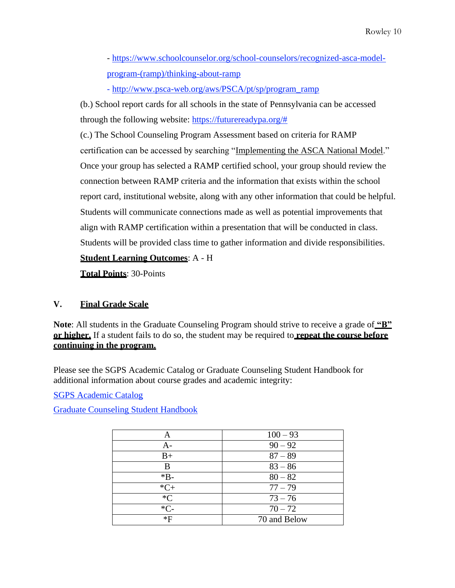- [https://www.schoolcounselor.org/school-counselors/recognized-asca-model](https://www.schoolcounselor.org/school-counselors/recognized-asca-model-program-(ramp)/thinking-about-ramp)[program-\(ramp\)/thinking-about-ramp](https://www.schoolcounselor.org/school-counselors/recognized-asca-model-program-(ramp)/thinking-about-ramp)

- [http://www.psca-web.org/aws/PSCA/pt/sp/program\\_ramp](http://www.psca-web.org/aws/PSCA/pt/sp/program_ramp)

(b.) School report cards for all schools in the state of Pennsylvania can be accessed through the following website: [https://futurereadypa.org/#](https://futurereadypa.org/)

(c.) The School Counseling Program Assessment based on criteria for RAMP certification can be accessed by searching "Implementing the ASCA National Model." Once your group has selected a RAMP certified school, your group should review the connection between RAMP criteria and the information that exists within the school report card, institutional website, along with any other information that could be helpful. Students will communicate connections made as well as potential improvements that align with RAMP certification within a presentation that will be conducted in class. Students will be provided class time to gather information and divide responsibilities.

**Student Learning Outcomes**: A - H

**Total Points**: 30-Points

## **V. Final Grade Scale**

**Note**: All students in the Graduate Counseling Program should strive to receive a grade of **"B" or higher.** If a student fails to do so, the student may be required to **repeat the course before continuing in the program.**

Please see the SGPS Academic Catalog or Graduate Counseling Student Handbook for additional information about course grades and academic integrity:

SGPS Academic Catalog

Graduate Counseling Student Handbook

| А     | $100 - 93$   |
|-------|--------------|
| А-    | $90 - 92$    |
| $B+$  | $87 - 89$    |
| В     | $83 - 86$    |
| $*B-$ | $80 - 82$    |
| $*C+$ | $77 - 79$    |
| $C^*$ | $73 - 76$    |
| $*C-$ | $70 - 72$    |
| *F    | 70 and Below |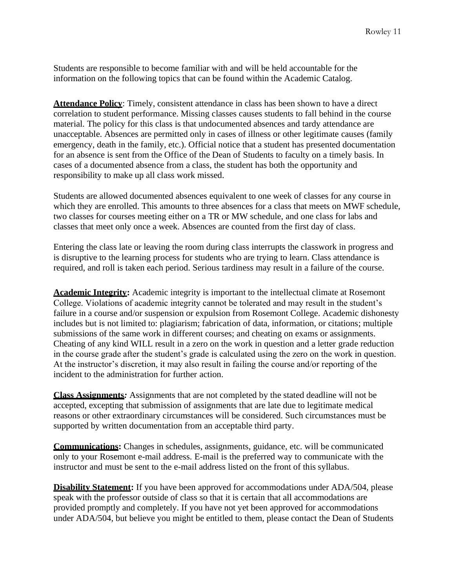Students are responsible to become familiar with and will be held accountable for the information on the following topics that can be found within the Academic Catalog.

**Attendance Policy**: Timely, consistent attendance in class has been shown to have a direct correlation to student performance. Missing classes causes students to fall behind in the course material. The policy for this class is that undocumented absences and tardy attendance are unacceptable. Absences are permitted only in cases of illness or other legitimate causes (family emergency, death in the family, etc.). Official notice that a student has presented documentation for an absence is sent from the Office of the Dean of Students to faculty on a timely basis. In cases of a documented absence from a class, the student has both the opportunity and responsibility to make up all class work missed.

Students are allowed documented absences equivalent to one week of classes for any course in which they are enrolled. This amounts to three absences for a class that meets on MWF schedule, two classes for courses meeting either on a TR or MW schedule, and one class for labs and classes that meet only once a week. Absences are counted from the first day of class.

Entering the class late or leaving the room during class interrupts the classwork in progress and is disruptive to the learning process for students who are trying to learn. Class attendance is required, and roll is taken each period. Serious tardiness may result in a failure of the course.

**Academic Integrity:** Academic integrity is important to the intellectual climate at Rosemont College. Violations of academic integrity cannot be tolerated and may result in the student's failure in a course and/or suspension or expulsion from Rosemont College. Academic dishonesty includes but is not limited to: plagiarism; fabrication of data, information, or citations; multiple submissions of the same work in different courses; and cheating on exams or assignments. Cheating of any kind WILL result in a zero on the work in question and a letter grade reduction in the course grade after the student's grade is calculated using the zero on the work in question. At the instructor's discretion, it may also result in failing the course and/or reporting of the incident to the administration for further action.

**Class Assignments***:* Assignments that are not completed by the stated deadline will not be accepted, excepting that submission of assignments that are late due to legitimate medical reasons or other extraordinary circumstances will be considered. Such circumstances must be supported by written documentation from an acceptable third party.

**Communications:** Changes in schedules, assignments, guidance, etc. will be communicated only to your Rosemont e-mail address. E-mail is the preferred way to communicate with the instructor and must be sent to the e-mail address listed on the front of this syllabus.

**Disability Statement:** If you have been approved for accommodations under ADA/504, please speak with the professor outside of class so that it is certain that all accommodations are provided promptly and completely. If you have not yet been approved for accommodations under ADA/504, but believe you might be entitled to them, please contact the Dean of Students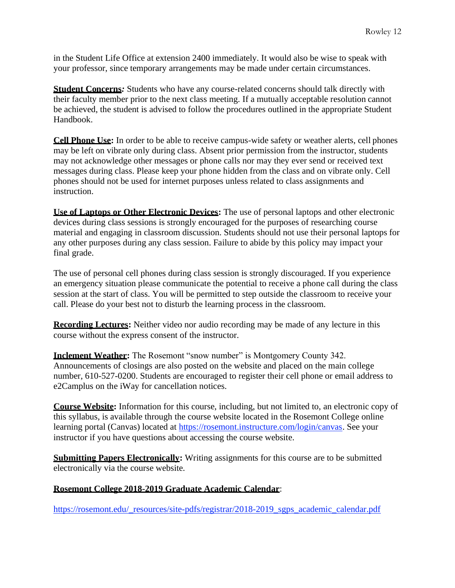in the Student Life Office at extension 2400 immediately. It would also be wise to speak with your professor, since temporary arrangements may be made under certain circumstances.

**Student Concerns***:* Students who have any course-related concerns should talk directly with their faculty member prior to the next class meeting. If a mutually acceptable resolution cannot be achieved, the student is advised to follow the procedures outlined in the appropriate Student Handbook.

**Cell Phone Use:** In order to be able to receive campus-wide safety or weather alerts, cell phones may be left on vibrate only during class. Absent prior permission from the instructor, students may not acknowledge other messages or phone calls nor may they ever send or received text messages during class. Please keep your phone hidden from the class and on vibrate only. Cell phones should not be used for internet purposes unless related to class assignments and instruction.

**Use of Laptops or Other Electronic Devices:** The use of personal laptops and other electronic devices during class sessions is strongly encouraged for the purposes of researching course material and engaging in classroom discussion. Students should not use their personal laptops for any other purposes during any class session. Failure to abide by this policy may impact your final grade.

The use of personal cell phones during class session is strongly discouraged. If you experience an emergency situation please communicate the potential to receive a phone call during the class session at the start of class. You will be permitted to step outside the classroom to receive your call. Please do your best not to disturb the learning process in the classroom.

**Recording Lectures:** Neither video nor audio recording may be made of any lecture in this course without the express consent of the instructor.

**Inclement Weather:** The Rosemont "snow number" is Montgomery County 342. Announcements of closings are also posted on the website and placed on the main college number, 610-527-0200. Students are encouraged to register their cell phone or email address to e2Camplus on the iWay for cancellation notices.

**Course Website:** Information for this course, including, but not limited to, an electronic copy of this syllabus, is available through the course website located in the Rosemont College online learning portal (Canvas) located at [https://rosemont.instructure.com/login/canvas.](https://rosemont.instructure.com/login/canvas) See your instructor if you have questions about accessing the course website.

**Submitting Papers Electronically:** Writing assignments for this course are to be submitted electronically via the course website.

## **Rosemont College 2018-2019 Graduate Academic Calendar**:

[https://rosemont.edu/\\_resources/site-pdfs/registrar/2018-2019\\_sgps\\_academic\\_calendar.pdf](https://rosemont.edu/_resources/site-pdfs/registrar/2018-2019_sgps_academic_calendar.pdf)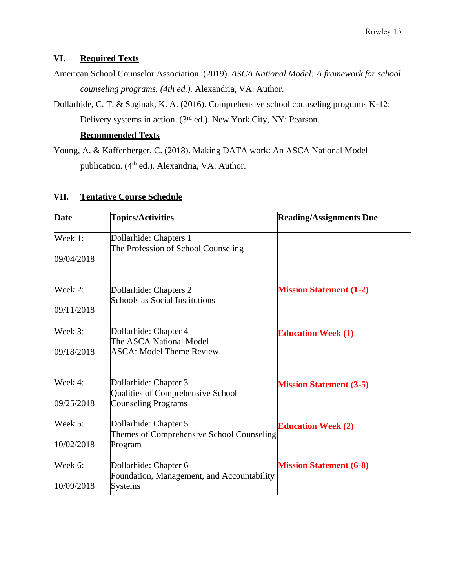# **VI. Required Texts**

- American School Counselor Association. (2019). *ASCA National Model: A framework for school counseling programs. (4th ed.).* Alexandria, VA: Author.
- Dollarhide, C. T. & Saginak, K. A. (2016). Comprehensive school counseling programs K-12: Delivery systems in action. (3rd ed.). New York City, NY: Pearson.

## **Recommended Texts**

Young, A. & Kaffenberger, C. (2018). Making DATA work: An ASCA National Model publication. (4<sup>th</sup> ed.). Alexandria, VA: Author.

## **VII. Tentative Course Schedule**

| <b>Date</b> | <b>Topics/Activities</b>                                            | <b>Reading/Assignments Due</b> |
|-------------|---------------------------------------------------------------------|--------------------------------|
| Week 1:     | Dollarhide: Chapters 1<br>The Profession of School Counseling       |                                |
| 09/04/2018  |                                                                     |                                |
| Week 2:     | Dollarhide: Chapters 2<br><b>Schools as Social Institutions</b>     | <b>Mission Statement (1-2)</b> |
| 09/11/2018  |                                                                     |                                |
| Week 3:     | Dollarhide: Chapter 4<br>The ASCA National Model                    | <b>Education Week (1)</b>      |
| 09/18/2018  | <b>ASCA: Model Theme Review</b>                                     |                                |
| Week 4:     | Dollarhide: Chapter 3<br>Qualities of Comprehensive School          | <b>Mission Statement (3-5)</b> |
| 09/25/2018  | <b>Counseling Programs</b>                                          |                                |
| Week 5:     | Dollarhide: Chapter 5<br>Themes of Comprehensive School Counseling  | <b>Education Week (2)</b>      |
| 10/02/2018  | Program                                                             |                                |
| Week 6:     | Dollarhide: Chapter 6<br>Foundation, Management, and Accountability | <b>Mission Statement (6-8)</b> |
| 10/09/2018  | <b>Systems</b>                                                      |                                |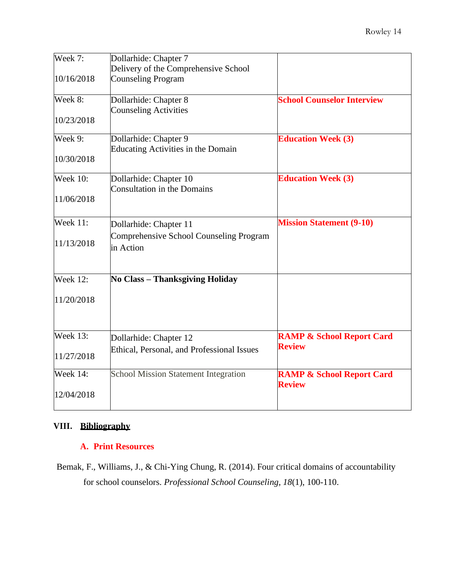| Week 7:         | Dollarhide: Chapter 7                                 |                                                       |
|-----------------|-------------------------------------------------------|-------------------------------------------------------|
|                 | Delivery of the Comprehensive School                  |                                                       |
| 10/16/2018      | <b>Counseling Program</b>                             |                                                       |
| Week 8:         | Dollarhide: Chapter 8                                 | <b>School Counselor Interview</b>                     |
| 10/23/2018      | <b>Counseling Activities</b>                          |                                                       |
| Week 9:         | Dollarhide: Chapter 9                                 | <b>Education Week (3)</b>                             |
| 10/30/2018      | Educating Activities in the Domain                    |                                                       |
| <b>Week 10:</b> | Dollarhide: Chapter 10<br>Consultation in the Domains | <b>Education Week (3)</b>                             |
| 11/06/2018      |                                                       |                                                       |
| <b>Week 11:</b> | Dollarhide: Chapter 11                                | <b>Mission Statement (9-10)</b>                       |
| 11/13/2018      | Comprehensive School Counseling Program<br>in Action  |                                                       |
| Week 12:        | No Class - Thanksgiving Holiday                       |                                                       |
| 11/20/2018      |                                                       |                                                       |
| Week $13$ :     | Dollarhide: Chapter 12                                | <b>RAMP &amp; School Report Card</b>                  |
| 11/27/2018      | Ethical, Personal, and Professional Issues            | <b>Review</b>                                         |
| <b>Week 14:</b> | <b>School Mission Statement Integration</b>           | <b>RAMP &amp; School Report Card</b><br><b>Review</b> |
| 12/04/2018      |                                                       |                                                       |

# **VIII. Bibliography**

## **A. Print Resources**

Bemak, F., Williams, J., & Chi-Ying Chung, R. (2014). Four critical domains of accountability for school counselors. *Professional School Counseling, 18*(1), 100-110.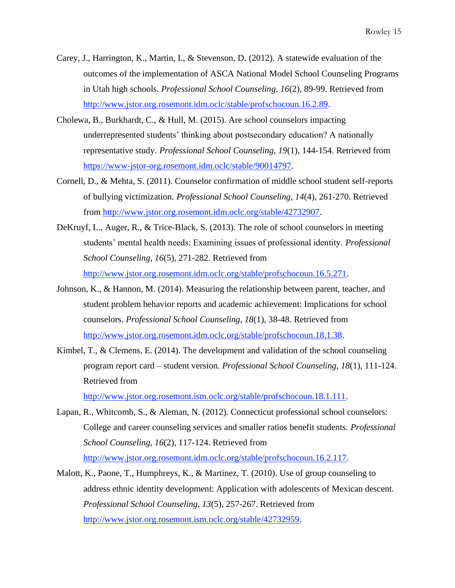- Carey, J., Harrington, K., Martin, I., & Stevenson, D. (2012). A statewide evaluation of the outcomes of the implementation of ASCA National Model School Counseling Programs in Utah high schools. *Professional School Counseling, 16*(2), 89-99. Retrieved from [http://www.jstor.org.rosemont.idm.oclc/stable/profschocoun.16.2.89.](http://www.jstor.org.rosemont.idm.oclc/stable/profschocoun.16.2.89)
- Cholewa, B., Burkhardt, C., & Hull, M. (2015). Are school counselors impacting underrepresented students' thinking about postsecondary education? A nationally representative study. *Professional School Counseling, 19*(1), 144-154. Retrieved from [https://www-jstor-org.rosemont.idm.oclc/stable/90014797.](https://www-jstor-org.rosemont.idm.oclc/stable/90014797)
- Cornell, D., & Mehta, S. (2011). Counselor confirmation of middle school student self-reports of bullying victimization. *Professional School Counseling, 14*(4), 261-270. Retrieved from [http://www.jstor.org.rosemont.idm.oclc.org/stable/42732907.](http://www.jstor.org.rosemont.idm.oclc.org/stable/42732907)
- DeKruyf, L., Auger, R., & Trice-Black, S. (2013). The role of school counselors in meeting students' mental health needs: Examining issues of professional identity. *Professional School Counseling, 16*(5), 271-282. Retrieved from [http://www.jstor.org.rosemont.idm.oclc.org/stable/profschocoun.16.5.271.](http://www.jstor.org.rosemont.idm.oclc.org/stable/profschocoun.16.5.271)
- Johnson, K., & Hannon, M. (2014). Measuring the relationship between parent, teacher, and student problem behavior reports and academic achievement: Implications for school counselors. *Professional School Counseling, 18*(1), 38-48. Retrieved from [http://www.jstor.org.rosemont.idm.oclc.org/stable/profschocoun.18.1.38.](http://www.jstor.org.rosemont.idm.oclc.org/stable/profschocoun.18.1.38)
- Kimbel, T., & Clemens, E. (2014). The development and validation of the school counseling program report card – student version. *Professional School Counseling, 18*(1), 111-124. Retrieved from

[http://www.jstor.org.rosemont.ism.oclc.org/stable/profschocoun.18.1.111.](http://www.jstor.org.rosemont.ism.oclc.org/stable/profschocoun.18.1.111)

- Lapan, R., Whitcomb, S., & Aleman, N. (2012). Connecticut professional school counselors: College and career counseling services and smaller ratios benefit students. *Professional School Counseling, 16*(2), 117-124. Retrieved from [http://www.jstor.org.rosemont.idm.oclc.org/stable/profschocoun.16.2.117.](http://www.jstor.org.rosemont.idm.oclc.org/stable/profschocoun.16.2.117)
- Malott, K., Paone, T., Humphreys, K., & Martinez, T. (2010). Use of group counseling to address ethnic identity development: Application with adolescents of Mexican descent. *Professional School Counseling, 13*(5), 257-267. Retrieved from [http://www.jstor.org.rosemont.ism.oclc.org/stable/42732959.](http://www.jstor.org.rosemont.ism.oclc.org/stable/42732959)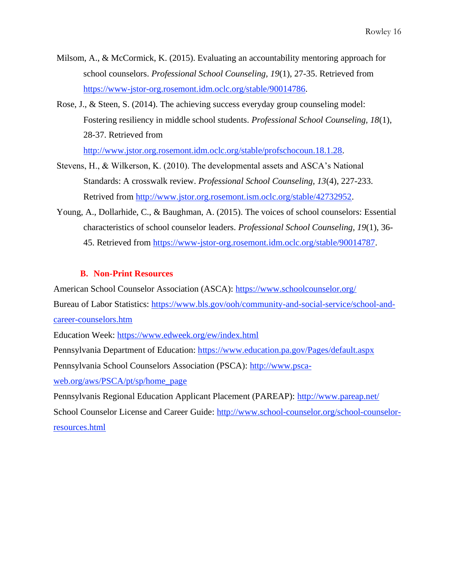- Milsom, A., & McCormick, K. (2015). Evaluating an accountability mentoring approach for school counselors. *Professional School Counseling, 19*(1), 27-35. Retrieved from [https://www-jstor-org.rosemont.idm.oclc.org/stable/90014786.](https://www-jstor-org.rosemont.idm.oclc.org/stable/90014786)
- Rose, J., & Steen, S. (2014). The achieving success everyday group counseling model: Fostering resiliency in middle school students. *Professional School Counseling, 18*(1), 28-37. Retrieved from

[http://www.jstor.org.rosemont.idm.oclc.org/stable/profschocoun.18.1.28.](http://www.jstor.org.rosemont.idm.oclc.org/stable/profschocoun.18.1.28)

- Stevens, H., & Wilkerson, K. (2010). The developmental assets and ASCA's National Standards: A crosswalk review. *Professional School Counseling, 13*(4), 227-233. Retrived from [http://www.jstor.org.rosemont.ism.oclc.org/stable/42732952.](http://www.jstor.org.rosemont.ism.oclc.org/stable/42732952)
- Young, A., Dollarhide, C., & Baughman, A. (2015). The voices of school counselors: Essential characteristics of school counselor leaders. *Professional School Counseling, 19*(1), 36- 45. Retrieved from [https://www-jstor-org.rosemont.idm.oclc.org/stable/90014787.](https://www-jstor-org.rosemont.idm.oclc.org/stable/90014787)

### **B. Non-Print Resources**

American School Counselor Association (ASCA):<https://www.schoolcounselor.org/>

Bureau of Labor Statistics: [https://www.bls.gov/ooh/community-and-social-service/school-and-](https://www.bls.gov/ooh/community-and-social-service/school-and-career-counselors.htm)

[career-counselors.htm](https://www.bls.gov/ooh/community-and-social-service/school-and-career-counselors.htm)

Education Week:<https://www.edweek.org/ew/index.html>

Pennsylvania Department of Education:<https://www.education.pa.gov/Pages/default.aspx>

Pennsylvania School Counselors Association (PSCA): [http://www.psca-](http://www.psca-web.org/aws/PSCA/pt/sp/home_page)

[web.org/aws/PSCA/pt/sp/home\\_page](http://www.psca-web.org/aws/PSCA/pt/sp/home_page)

Pennsylvanis Regional Education Applicant Placement (PAREAP):<http://www.pareap.net/> School Counselor License and Career Guide: [http://www.school-counselor.org/school-counselor](http://www.school-counselor.org/school-counselor-resources.html)[resources.html](http://www.school-counselor.org/school-counselor-resources.html)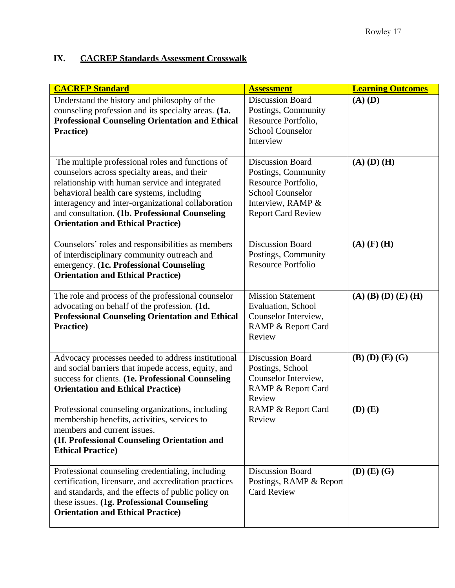# **IX. CACREP Standards Assessment Crosswalk**

| <b>CACREP Standard</b>                                                                                                                                                                                                                                                                                                                              | <b>Assessment</b>                                                                                                                                  | <b>Learning Outcomes</b> |
|-----------------------------------------------------------------------------------------------------------------------------------------------------------------------------------------------------------------------------------------------------------------------------------------------------------------------------------------------------|----------------------------------------------------------------------------------------------------------------------------------------------------|--------------------------|
| Understand the history and philosophy of the<br>counseling profession and its specialty areas. (1a.<br><b>Professional Counseling Orientation and Ethical</b><br>Practice)                                                                                                                                                                          | <b>Discussion Board</b><br>Postings, Community<br>Resource Portfolio,<br><b>School Counselor</b><br>Interview                                      | $(A)$ $(D)$              |
| The multiple professional roles and functions of<br>counselors across specialty areas, and their<br>relationship with human service and integrated<br>behavioral health care systems, including<br>interagency and inter-organizational collaboration<br>and consultation. (1b. Professional Counseling<br><b>Orientation and Ethical Practice)</b> | <b>Discussion Board</b><br>Postings, Community<br>Resource Portfolio,<br><b>School Counselor</b><br>Interview, RAMP &<br><b>Report Card Review</b> | $(A)$ $(D)$ $(H)$        |
| Counselors' roles and responsibilities as members<br>of interdisciplinary community outreach and<br>emergency. (1c. Professional Counseling<br><b>Orientation and Ethical Practice)</b>                                                                                                                                                             | <b>Discussion Board</b><br>Postings, Community<br><b>Resource Portfolio</b>                                                                        | $(A)$ (F) (H)            |
| The role and process of the professional counselor<br>advocating on behalf of the profession. (1d.<br><b>Professional Counseling Orientation and Ethical</b><br>Practice)                                                                                                                                                                           | <b>Mission Statement</b><br>Evaluation, School<br>Counselor Interview,<br>RAMP & Report Card<br>Review                                             | $(A)$ (B) (D) (E) (H)    |
| Advocacy processes needed to address institutional<br>and social barriers that impede access, equity, and<br>success for clients. (1e. Professional Counseling<br><b>Orientation and Ethical Practice)</b>                                                                                                                                          | <b>Discussion Board</b><br>Postings, School<br>Counselor Interview,<br>RAMP & Report Card<br>Review                                                | $(B)$ $(D)$ $(E)$ $(G)$  |
| Professional counseling organizations, including<br>membership benefits, activities, services to<br>members and current issues.<br>(1f. Professional Counseling Orientation and<br><b>Ethical Practice</b> )                                                                                                                                        | <b>RAMP &amp; Report Card</b><br>Review                                                                                                            | $(D)$ $(E)$              |
| Professional counseling credentialing, including<br>certification, licensure, and accreditation practices<br>and standards, and the effects of public policy on<br>these issues. (1g. Professional Counseling<br><b>Orientation and Ethical Practice)</b>                                                                                           | <b>Discussion Board</b><br>Postings, RAMP & Report<br><b>Card Review</b>                                                                           | $(D)$ $(E)$ $(G)$        |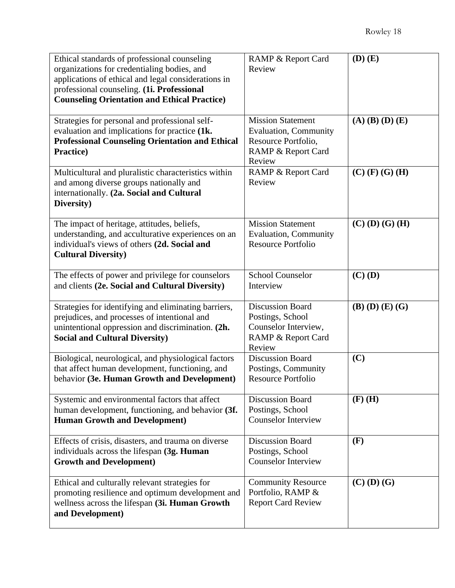| Ethical standards of professional counseling<br>organizations for credentialing bodies, and<br>applications of ethical and legal considerations in<br>professional counseling. (1i. Professional<br><b>Counseling Orientation and Ethical Practice)</b> | RAMP & Report Card<br>Review                                                                                    | $(D)$ $(E)$             |
|---------------------------------------------------------------------------------------------------------------------------------------------------------------------------------------------------------------------------------------------------------|-----------------------------------------------------------------------------------------------------------------|-------------------------|
| Strategies for personal and professional self-<br>evaluation and implications for practice (1k.<br><b>Professional Counseling Orientation and Ethical</b><br>Practice)                                                                                  | <b>Mission Statement</b><br><b>Evaluation, Community</b><br>Resource Portfolio,<br>RAMP & Report Card<br>Review | $(A)$ $(B)$ $(D)$ $(E)$ |
| Multicultural and pluralistic characteristics within<br>and among diverse groups nationally and<br>internationally. (2a. Social and Cultural<br>Diversity)                                                                                              | RAMP & Report Card<br>Review                                                                                    | $(C)$ (F) (G) (H)       |
| The impact of heritage, attitudes, beliefs,<br>understanding, and acculturative experiences on an<br>individual's views of others (2d. Social and<br><b>Cultural Diversity)</b>                                                                         | <b>Mission Statement</b><br><b>Evaluation, Community</b><br><b>Resource Portfolio</b>                           | $(C)$ (D) (G) (H)       |
| The effects of power and privilege for counselors<br>and clients (2e. Social and Cultural Diversity)                                                                                                                                                    | <b>School Counselor</b><br>Interview                                                                            | $(C)$ (D)               |
| Strategies for identifying and eliminating barriers,<br>prejudices, and processes of intentional and<br>unintentional oppression and discrimination. (2h.<br><b>Social and Cultural Diversity)</b>                                                      | <b>Discussion Board</b><br>Postings, School<br>Counselor Interview,<br>RAMP & Report Card<br>Review             | $(B)$ $(D)$ $(E)$ $(G)$ |
| Biological, neurological, and physiological factors<br>that affect human development, functioning, and<br>behavior (3e. Human Growth and Development)                                                                                                   | <b>Discussion Board</b><br>Postings, Community<br><b>Resource Portfolio</b>                                     | (C)                     |
| Systemic and environmental factors that affect<br>human development, functioning, and behavior (3f.<br><b>Human Growth and Development)</b>                                                                                                             | <b>Discussion Board</b><br>Postings, School<br><b>Counselor Interview</b>                                       | $(F)$ (H)               |
| Effects of crisis, disasters, and trauma on diverse<br>individuals across the lifespan (3g. Human<br><b>Growth and Development)</b>                                                                                                                     | <b>Discussion Board</b><br>Postings, School<br><b>Counselor Interview</b>                                       | (F)                     |
| Ethical and culturally relevant strategies for<br>promoting resilience and optimum development and<br>wellness across the lifespan (3i. Human Growth<br>and Development)                                                                                | <b>Community Resource</b><br>Portfolio, RAMP &<br><b>Report Card Review</b>                                     | $(C)$ $(D)$ $(G)$       |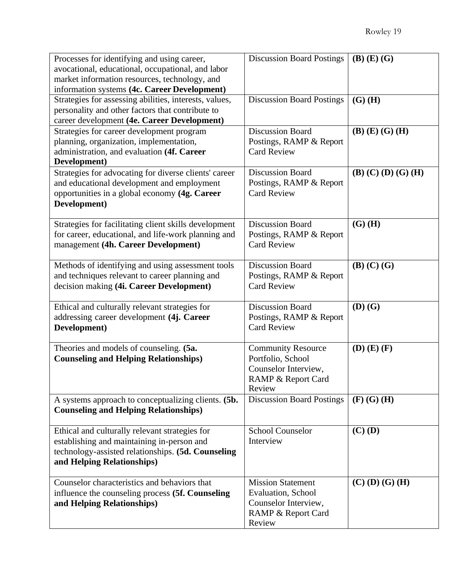| Processes for identifying and using career,            | <b>Discussion Board Postings</b> | $(B)$ $(E)$ $(G)$             |
|--------------------------------------------------------|----------------------------------|-------------------------------|
| avocational, educational, occupational, and labor      |                                  |                               |
| market information resources, technology, and          |                                  |                               |
| information systems (4c. Career Development)           |                                  |                               |
| Strategies for assessing abilities, interests, values, | <b>Discussion Board Postings</b> | $(G)$ (H)                     |
| personality and other factors that contribute to       |                                  |                               |
| career development (4e. Career Development)            |                                  |                               |
| Strategies for career development program              | <b>Discussion Board</b>          | $(B)$ $(E)$ $(G)$ $(H)$       |
| planning, organization, implementation,                | Postings, RAMP & Report          |                               |
| administration, and evaluation (4f. Career             | <b>Card Review</b>               |                               |
| Development)                                           |                                  |                               |
| Strategies for advocating for diverse clients' career  | <b>Discussion Board</b>          | $(B)$ $(C)$ $(D)$ $(G)$ $(H)$ |
| and educational development and employment             | Postings, RAMP & Report          |                               |
| opportunities in a global economy (4g. Career          | <b>Card Review</b>               |                               |
| Development)                                           |                                  |                               |
|                                                        |                                  |                               |
| Strategies for facilitating client skills development  | <b>Discussion Board</b>          | $(G)$ (H)                     |
| for career, educational, and life-work planning and    | Postings, RAMP & Report          |                               |
| management (4h. Career Development)                    | <b>Card Review</b>               |                               |
|                                                        |                                  |                               |
| Methods of identifying and using assessment tools      | <b>Discussion Board</b>          | $(B)$ $(C)$ $(G)$             |
| and techniques relevant to career planning and         | Postings, RAMP & Report          |                               |
| decision making (4i. Career Development)               | <b>Card Review</b>               |                               |
|                                                        |                                  |                               |
| Ethical and culturally relevant strategies for         | <b>Discussion Board</b>          | $(D)$ $(G)$                   |
| addressing career development (4j. Career              | Postings, RAMP & Report          |                               |
| Development)                                           | <b>Card Review</b>               |                               |
|                                                        |                                  |                               |
| Theories and models of counseling. (5a.                | <b>Community Resource</b>        | $(D)$ $(E)$ $(F)$             |
| <b>Counseling and Helping Relationships)</b>           | Portfolio, School                |                               |
|                                                        | Counselor Interview,             |                               |
|                                                        | RAMP & Report Card               |                               |
|                                                        | Review                           |                               |
| A systems approach to conceptualizing clients. (5b.    | <b>Discussion Board Postings</b> | $(F)$ $(G)$ $(H)$             |
| <b>Counseling and Helping Relationships)</b>           |                                  |                               |
|                                                        |                                  |                               |
| Ethical and culturally relevant strategies for         | <b>School Counselor</b>          | $(C)$ (D)                     |
| establishing and maintaining in-person and             | Interview                        |                               |
| technology-assisted relationships. (5d. Counseling     |                                  |                               |
| and Helping Relationships)                             |                                  |                               |
|                                                        | <b>Mission Statement</b>         |                               |
| Counselor characteristics and behaviors that           |                                  | $(C)$ (D) (G) (H)             |
| influence the counseling process (5f. Counseling       | Evaluation, School               |                               |
| and Helping Relationships)                             | Counselor Interview,             |                               |
|                                                        |                                  |                               |
|                                                        | RAMP & Report Card<br>Review     |                               |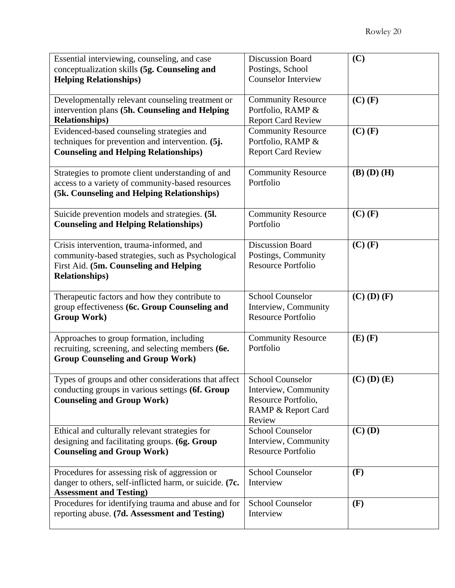| Essential interviewing, counseling, and case                                                             | <b>Discussion Board</b>                                | (C)               |
|----------------------------------------------------------------------------------------------------------|--------------------------------------------------------|-------------------|
| conceptualization skills (5g. Counseling and                                                             | Postings, School                                       |                   |
| <b>Helping Relationships)</b>                                                                            | <b>Counselor Interview</b>                             |                   |
|                                                                                                          |                                                        |                   |
| Developmentally relevant counseling treatment or                                                         | <b>Community Resource</b>                              | $(C)$ (F)         |
| intervention plans (5h. Counseling and Helping<br><b>Relationships)</b>                                  | Portfolio, RAMP &                                      |                   |
| Evidenced-based counseling strategies and                                                                | <b>Report Card Review</b><br><b>Community Resource</b> | $(C)$ $(F)$       |
| techniques for prevention and intervention. (5j.                                                         | Portfolio, RAMP &                                      |                   |
| <b>Counseling and Helping Relationships)</b>                                                             | <b>Report Card Review</b>                              |                   |
|                                                                                                          |                                                        |                   |
| Strategies to promote client understanding of and                                                        | <b>Community Resource</b>                              | $(B)$ $(D)$ $(H)$ |
| access to a variety of community-based resources                                                         | Portfolio                                              |                   |
| (5k. Counseling and Helping Relationships)                                                               |                                                        |                   |
|                                                                                                          |                                                        |                   |
| Suicide prevention models and strategies. (5l.                                                           | <b>Community Resource</b>                              | $(C)$ $(F)$       |
| <b>Counseling and Helping Relationships)</b>                                                             | Portfolio                                              |                   |
|                                                                                                          |                                                        |                   |
| Crisis intervention, trauma-informed, and                                                                | <b>Discussion Board</b>                                | $(C)$ $(F)$       |
| community-based strategies, such as Psychological                                                        | Postings, Community<br><b>Resource Portfolio</b>       |                   |
| First Aid. (5m. Counseling and Helping<br><b>Relationships)</b>                                          |                                                        |                   |
|                                                                                                          |                                                        |                   |
| Therapeutic factors and how they contribute to                                                           | <b>School Counselor</b>                                | $(C)$ $(D)$ $(F)$ |
| group effectiveness (6c. Group Counseling and                                                            | Interview, Community                                   |                   |
| <b>Group Work</b> )                                                                                      | <b>Resource Portfolio</b>                              |                   |
|                                                                                                          |                                                        |                   |
| Approaches to group formation, including                                                                 | <b>Community Resource</b>                              | $(E)$ $(F)$       |
| recruiting, screening, and selecting members (6e.                                                        | Portfolio                                              |                   |
| <b>Group Counseling and Group Work)</b>                                                                  |                                                        |                   |
|                                                                                                          | <b>School Counselor</b>                                |                   |
| Types of groups and other considerations that affect<br>conducting groups in various settings (6f. Group | Interview, Community                                   | $(C)$ $(D)$ $(E)$ |
| <b>Counseling and Group Work)</b>                                                                        | Resource Portfolio,                                    |                   |
|                                                                                                          | RAMP & Report Card                                     |                   |
|                                                                                                          | Review                                                 |                   |
| Ethical and culturally relevant strategies for                                                           | <b>School Counselor</b>                                | $(C)$ (D)         |
| designing and facilitating groups. (6g. Group                                                            | Interview, Community                                   |                   |
| <b>Counseling and Group Work)</b>                                                                        | <b>Resource Portfolio</b>                              |                   |
|                                                                                                          |                                                        |                   |
| Procedures for assessing risk of aggression or                                                           | <b>School Counselor</b>                                | (F)               |
| danger to others, self-inflicted harm, or suicide. (7c.                                                  | Interview                                              |                   |
| <b>Assessment and Testing)</b>                                                                           |                                                        |                   |
| Procedures for identifying trauma and abuse and for                                                      | <b>School Counselor</b>                                | (F)               |
| reporting abuse. (7d. Assessment and Testing)                                                            | Interview                                              |                   |
|                                                                                                          |                                                        |                   |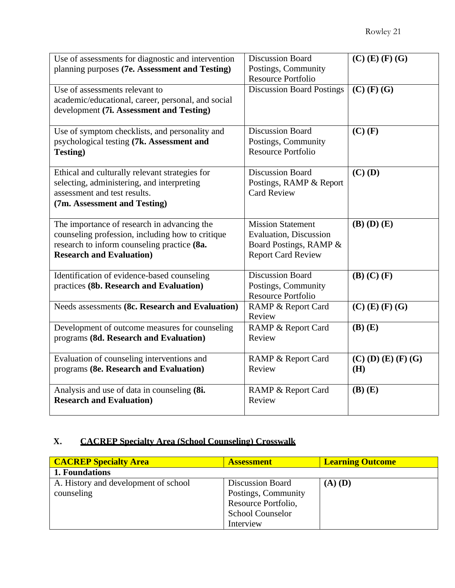| Use of assessments for diagnostic and intervention<br>planning purposes (7e. Assessment and Testing)<br>Use of assessments relevant to<br>academic/educational, career, personal, and social<br>development (7i. Assessment and Testing) | <b>Discussion Board</b><br>Postings, Community<br><b>Resource Portfolio</b><br><b>Discussion Board Postings</b>   | $(C)$ (E) (F) (G)<br>$(C)$ (F) (G) |
|------------------------------------------------------------------------------------------------------------------------------------------------------------------------------------------------------------------------------------------|-------------------------------------------------------------------------------------------------------------------|------------------------------------|
| Use of symptom checklists, and personality and<br>psychological testing (7k. Assessment and<br><b>Testing</b> )                                                                                                                          | <b>Discussion Board</b><br>Postings, Community<br><b>Resource Portfolio</b>                                       | $(C)$ $(F)$                        |
| Ethical and culturally relevant strategies for<br>selecting, administering, and interpreting<br>assessment and test results.<br>(7m. Assessment and Testing)                                                                             | <b>Discussion Board</b><br>Postings, RAMP & Report<br><b>Card Review</b>                                          | $(C)$ (D)                          |
| The importance of research in advancing the<br>counseling profession, including how to critique<br>research to inform counseling practice (8a.<br><b>Research and Evaluation</b> )                                                       | <b>Mission Statement</b><br><b>Evaluation</b> , Discussion<br>Board Postings, RAMP &<br><b>Report Card Review</b> | $(B)$ $(D)$ $(E)$                  |
| Identification of evidence-based counseling<br>practices (8b. Research and Evaluation)                                                                                                                                                   | <b>Discussion Board</b><br>Postings, Community<br><b>Resource Portfolio</b>                                       | $(B)$ $(C)$ $(F)$                  |
| Needs assessments (8c. Research and Evaluation)                                                                                                                                                                                          | RAMP & Report Card<br>Review                                                                                      | $(C)$ (E) (F) (G)                  |
| Development of outcome measures for counseling<br>programs (8d. Research and Evaluation)                                                                                                                                                 | RAMP & Report Card<br>Review                                                                                      | $(B)$ $(E)$                        |
| Evaluation of counseling interventions and<br>programs (8e. Research and Evaluation)                                                                                                                                                     | RAMP & Report Card<br>Review                                                                                      | $(C)$ (D) (E) (F) (G)<br>(H)       |
| Analysis and use of data in counseling (8i.<br><b>Research and Evaluation)</b>                                                                                                                                                           | RAMP & Report Card<br>Review                                                                                      | $(B)$ $(E)$                        |

# **X. CACREP Specialty Area (School Counseling) Crosswalk**

| <b>CACREP Specialty Area</b>         | <b>Assessment</b>       | <b>Learning Outcome</b> |
|--------------------------------------|-------------------------|-------------------------|
| 1. Foundations                       |                         |                         |
| A. History and development of school | Discussion Board        | $(A)$ $(D)$             |
| counseling                           | Postings, Community     |                         |
|                                      | Resource Portfolio,     |                         |
|                                      | <b>School Counselor</b> |                         |
|                                      | Interview               |                         |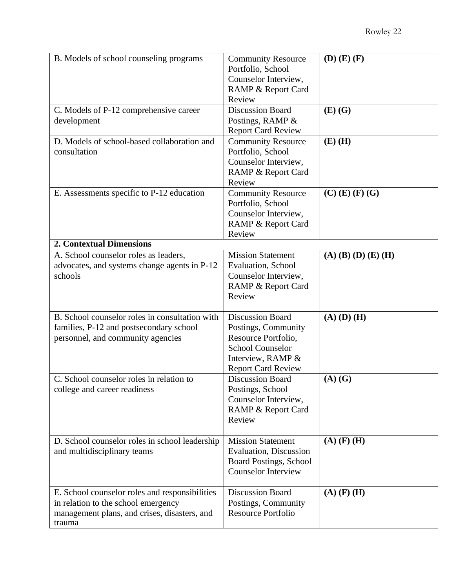| B. Models of school counseling programs                                                                                                         | <b>Community Resource</b><br>Portfolio, School<br>Counselor Interview,<br>RAMP & Report Card<br>Review                                             | $(D)$ $(E)$ $(F)$     |
|-------------------------------------------------------------------------------------------------------------------------------------------------|----------------------------------------------------------------------------------------------------------------------------------------------------|-----------------------|
| C. Models of P-12 comprehensive career<br>development                                                                                           | <b>Discussion Board</b><br>Postings, RAMP &<br><b>Report Card Review</b>                                                                           | $(E)$ $(G)$           |
| D. Models of school-based collaboration and<br>consultation                                                                                     | <b>Community Resource</b><br>Portfolio, School<br>Counselor Interview,<br>RAMP & Report Card<br>Review                                             | $(E)$ (H)             |
| E. Assessments specific to P-12 education                                                                                                       | <b>Community Resource</b><br>Portfolio, School<br>Counselor Interview,<br>RAMP & Report Card<br>Review                                             | $(C)$ (E) (F) (G)     |
| <b>2. Contextual Dimensions</b>                                                                                                                 |                                                                                                                                                    |                       |
| A. School counselor roles as leaders,<br>advocates, and systems change agents in P-12<br>schools                                                | <b>Mission Statement</b><br>Evaluation, School<br>Counselor Interview,<br><b>RAMP &amp; Report Card</b><br>Review                                  | $(A)$ (B) (D) (E) (H) |
| B. School counselor roles in consultation with<br>families, P-12 and postsecondary school<br>personnel, and community agencies                  | <b>Discussion Board</b><br>Postings, Community<br>Resource Portfolio,<br><b>School Counselor</b><br>Interview, RAMP &<br><b>Report Card Review</b> | $(A)$ $(D)$ $(H)$     |
| C. School counselor roles in relation to<br>college and career readiness                                                                        | <b>Discussion Board</b><br>Postings, School<br>Counselor Interview,<br>RAMP & Report Card<br>Review                                                | $(A)$ $(G)$           |
| D. School counselor roles in school leadership<br>and multidisciplinary teams                                                                   | <b>Mission Statement</b><br><b>Evaluation</b> , Discussion<br><b>Board Postings, School</b><br><b>Counselor Interview</b>                          | $(A)$ $(F)$ $(H)$     |
| E. School counselor roles and responsibilities<br>in relation to the school emergency<br>management plans, and crises, disasters, and<br>trauma | <b>Discussion Board</b><br>Postings, Community<br><b>Resource Portfolio</b>                                                                        | $(A)$ $(F)$ $(H)$     |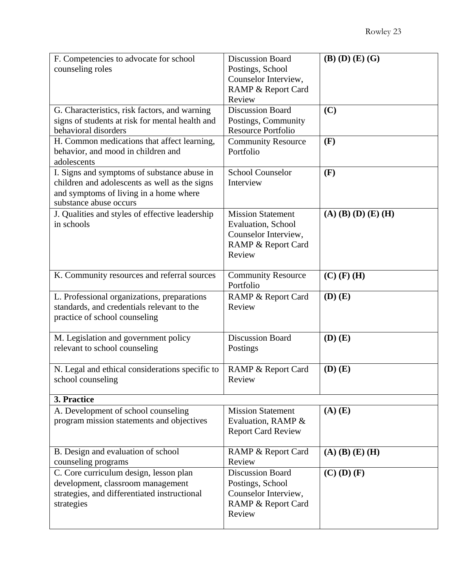| F. Competencies to advocate for school          | <b>Discussion Board</b>                | $(B)$ $(D)$ $(E)$ $(G)$ |
|-------------------------------------------------|----------------------------------------|-------------------------|
| counseling roles                                | Postings, School                       |                         |
|                                                 | Counselor Interview,                   |                         |
|                                                 | <b>RAMP &amp; Report Card</b>          |                         |
|                                                 | Review                                 |                         |
| G. Characteristics, risk factors, and warning   | <b>Discussion Board</b>                | (C)                     |
| signs of students at risk for mental health and | Postings, Community                    |                         |
| behavioral disorders                            | <b>Resource Portfolio</b>              |                         |
| H. Common medications that affect learning,     | <b>Community Resource</b>              | (F)                     |
| behavior, and mood in children and              | Portfolio                              |                         |
| adolescents                                     |                                        |                         |
| I. Signs and symptoms of substance abuse in     | <b>School Counselor</b>                | (F)                     |
| children and adolescents as well as the signs   | Interview                              |                         |
| and symptoms of living in a home where          |                                        |                         |
| substance abuse occurs                          |                                        |                         |
| J. Qualities and styles of effective leadership | <b>Mission Statement</b>               | $(A)$ (B) (D) (E) (H)   |
| in schools                                      | Evaluation, School                     |                         |
|                                                 | Counselor Interview,                   |                         |
|                                                 | RAMP & Report Card                     |                         |
|                                                 | Review                                 |                         |
|                                                 |                                        |                         |
| K. Community resources and referral sources     | <b>Community Resource</b><br>Portfolio | $(C)$ (F) (H)           |
| L. Professional organizations, preparations     | RAMP & Report Card                     | $(D)$ $(E)$             |
| standards, and credentials relevant to the      | Review                                 |                         |
| practice of school counseling                   |                                        |                         |
|                                                 |                                        |                         |
| M. Legislation and government policy            | <b>Discussion Board</b>                | $(D)$ $(E)$             |
| relevant to school counseling                   | Postings                               |                         |
|                                                 |                                        |                         |
| N. Legal and ethical considerations specific to | RAMP & Report Card                     | $(D)$ $(E)$             |
| school counseling                               | Review                                 |                         |
|                                                 |                                        |                         |
| 3. Practice                                     |                                        |                         |
| A. Development of school counseling             | <b>Mission Statement</b>               | $(A)$ $(E)$             |
| program mission statements and objectives       | Evaluation, RAMP &                     |                         |
|                                                 | <b>Report Card Review</b>              |                         |
| B. Design and evaluation of school              | RAMP & Report Card                     | $(A)$ $(B)$ $(E)$ $(H)$ |
| counseling programs                             | Review                                 |                         |
| C. Core curriculum design, lesson plan          | <b>Discussion Board</b>                | $(C)$ $(D)$ $(F)$       |
| development, classroom management               | Postings, School                       |                         |
| strategies, and differentiated instructional    | Counselor Interview,                   |                         |
| strategies                                      | RAMP & Report Card                     |                         |
|                                                 | Review                                 |                         |
|                                                 |                                        |                         |